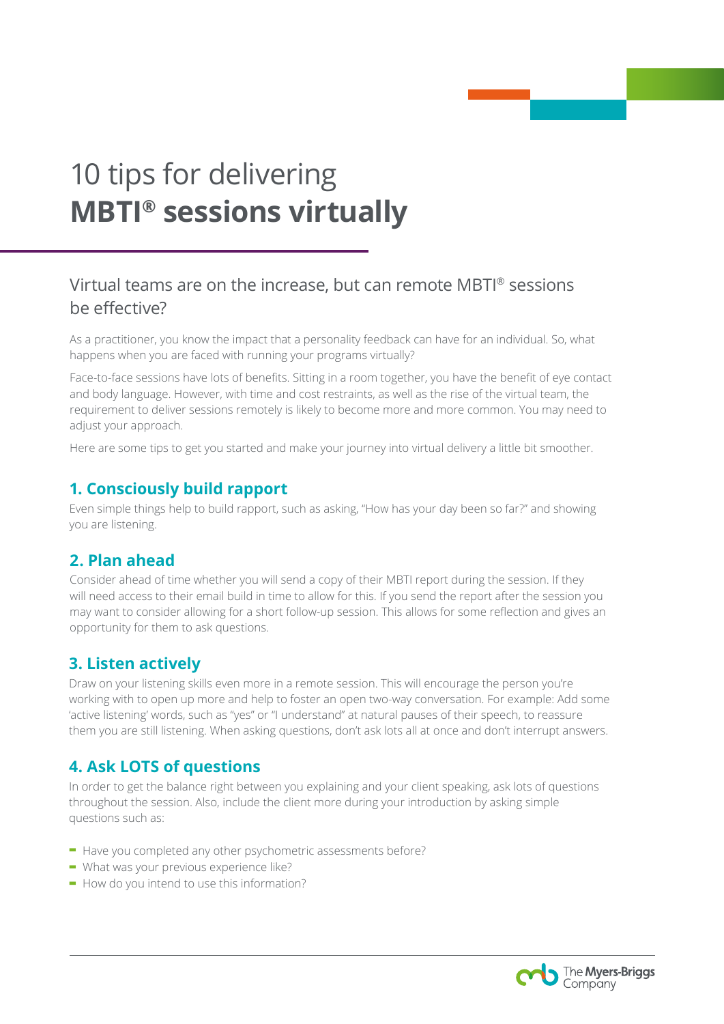# 10 tips for delivering **MBTI® sessions virtually**

# Virtual teams are on the increase, but can remote MBTI® sessions be effective?

As a practitioner, you know the impact that a personality feedback can have for an individual. So, what happens when you are faced with running your programs virtually?

Face-to-face sessions have lots of benefits. Sitting in a room together, you have the benefit of eye contact and body language. However, with time and cost restraints, as well as the rise of the virtual team, the requirement to deliver sessions remotely is likely to become more and more common. You may need to adjust your approach.

Here are some tips to get you started and make your journey into virtual delivery a little bit smoother.

#### **1. Consciously build rapport**

Even simple things help to build rapport, such as asking, "How has your day been so far?" and showing you are listening.

#### **2. Plan ahead**

Consider ahead of time whether you will send a copy of their MBTI report during the session. If they will need access to their email build in time to allow for this. If you send the report after the session you may want to consider allowing for a short follow-up session. This allows for some reflection and gives an opportunity for them to ask questions.

### **3. Listen actively**

Draw on your listening skills even more in a remote session. This will encourage the person you're working with to open up more and help to foster an open two-way conversation. For example: Add some 'active listening' words, such as "yes" or "I understand" at natural pauses of their speech, to reassure them you are still listening. When asking questions, don't ask lots all at once and don't interrupt answers.

## **4. Ask LOTS of questions**

In order to get the balance right between you explaining and your client speaking, ask lots of questions throughout the session. Also, include the client more during your introduction by asking simple questions such as:

- **-** Have you completed any other psychometric assessments before?
- **-** What was your previous experience like?
- **-** How do you intend to use this information?